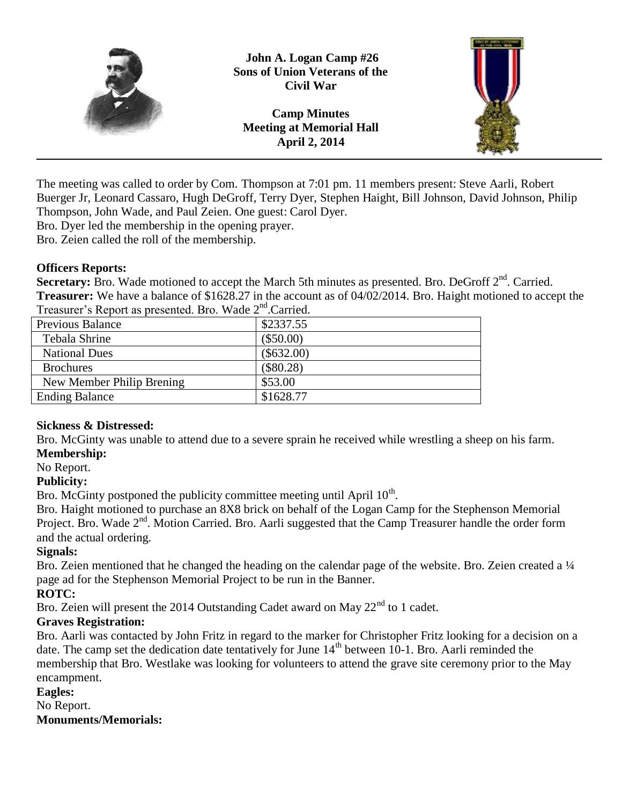

**John A. Logan Camp #26 Sons of Union Veterans of the Civil War**

**Camp Minutes Meeting at Memorial Hall April 2, 2014**



The meeting was called to order by Com. Thompson at 7:01 pm. 11 members present: Steve Aarli, Robert Buerger Jr, Leonard Cassaro, Hugh DeGroff, Terry Dyer, Stephen Haight, Bill Johnson, David Johnson, Philip Thompson, John Wade, and Paul Zeien. One guest: Carol Dyer.

Bro. Dyer led the membership in the opening prayer.

Bro. Zeien called the roll of the membership.

## **Officers Reports:**

Secretary: Bro. Wade motioned to accept the March 5th minutes as presented. Bro. DeGroff 2<sup>nd</sup>. Carried. **Treasurer:** We have a balance of \$1628.27 in the account as of 04/02/2014. Bro. Haight motioned to accept the Treasurer's Report as presented. Bro. Wade 2<sup>nd</sup>. Carried.

| $\frac{1}{2}$ . Carlied 5 Report as presented. Dro. $\frac{1}{2}$ Rade 2. Carlied. |  |
|------------------------------------------------------------------------------------|--|
| \$2337.55                                                                          |  |
| $(\$50.00)$                                                                        |  |
| $(\$632.00)$                                                                       |  |
| $(\$80.28)$                                                                        |  |
| \$53.00                                                                            |  |
| \$1628.77                                                                          |  |
|                                                                                    |  |

# **Sickness & Distressed:**

Bro. McGinty was unable to attend due to a severe sprain he received while wrestling a sheep on his farm. **Membership:**

# No Report.

**Publicity:**

Bro. McGinty postponed the publicity committee meeting until April  $10<sup>th</sup>$ .

Bro. Haight motioned to purchase an 8X8 brick on behalf of the Logan Camp for the Stephenson Memorial Project. Bro. Wade  $2<sup>nd</sup>$ . Motion Carried. Bro. Aarli suggested that the Camp Treasurer handle the order form and the actual ordering.

## **Signals:**

Bro. Zeien mentioned that he changed the heading on the calendar page of the website. Bro. Zeien created a ¼ page ad for the Stephenson Memorial Project to be run in the Banner.

## **ROTC:**

Bro. Zeien will present the 2014 Outstanding Cadet award on May  $22<sup>nd</sup>$  to 1 cadet.

# **Graves Registration:**

Bro. Aarli was contacted by John Fritz in regard to the marker for Christopher Fritz looking for a decision on a date. The camp set the dedication date tentatively for June  $14<sup>th</sup>$  between 10-1. Bro. Aarli reminded the membership that Bro. Westlake was looking for volunteers to attend the grave site ceremony prior to the May encampment.

#### **Eagles:**

No Report.

**Monuments/Memorials:**